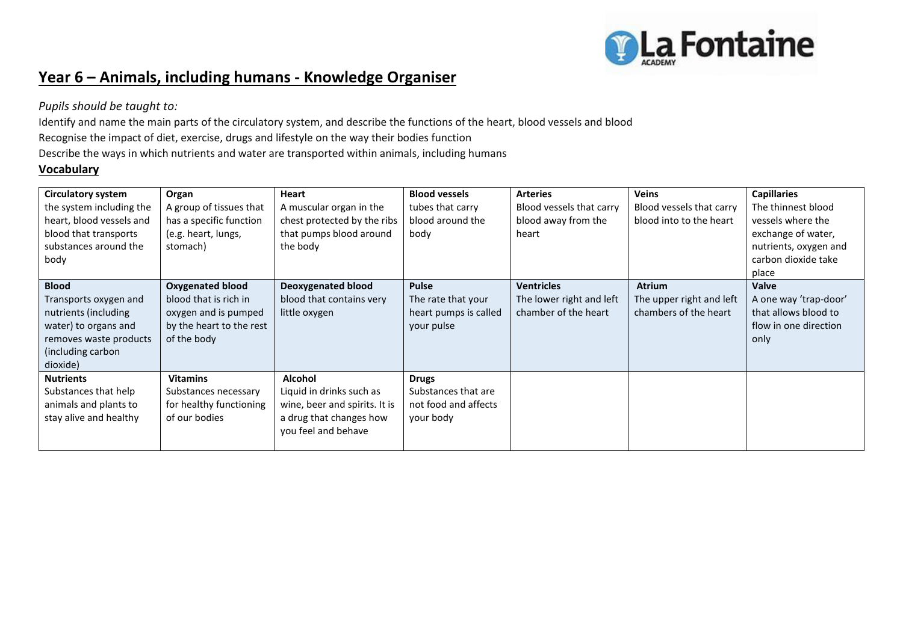

# **Year 6 – Animals, including humans - Knowledge Organiser**

*Pupils should be taught to:*

Identify and name the main parts of the circulatory system, and describe the functions of the heart, blood vessels and blood Recognise the impact of diet, exercise, drugs and lifestyle on the way their bodies function Describe the ways in which nutrients and water are transported within animals, including humans

# **Vocabulary**

| <b>Circulatory system</b><br>the system including the<br>heart, blood vessels and<br>blood that transports<br>substances around the<br>body      | Organ<br>A group of tissues that<br>has a specific function<br>(e.g. heart, lungs,<br>stomach)                      | Heart<br>A muscular organ in the<br>chest protected by the ribs<br>that pumps blood around<br>the body                        | <b>Blood vessels</b><br>tubes that carry<br>blood around the<br>body      | <b>Arteries</b><br>Blood vessels that carry<br>blood away from the<br>heart | <b>Veins</b><br>Blood vessels that carry<br>blood into to the heart | <b>Capillaries</b><br>The thinnest blood<br>vessels where the<br>exchange of water,<br>nutrients, oxygen and<br>carbon dioxide take<br>place |
|--------------------------------------------------------------------------------------------------------------------------------------------------|---------------------------------------------------------------------------------------------------------------------|-------------------------------------------------------------------------------------------------------------------------------|---------------------------------------------------------------------------|-----------------------------------------------------------------------------|---------------------------------------------------------------------|----------------------------------------------------------------------------------------------------------------------------------------------|
| <b>Blood</b><br>Transports oxygen and<br>nutrients (including<br>water) to organs and<br>removes waste products<br>(including carbon<br>dioxide) | <b>Oxygenated blood</b><br>blood that is rich in<br>oxygen and is pumped<br>by the heart to the rest<br>of the body | <b>Deoxygenated blood</b><br>blood that contains very<br>little oxygen                                                        | <b>Pulse</b><br>The rate that your<br>heart pumps is called<br>your pulse | <b>Ventricles</b><br>The lower right and left<br>chamber of the heart       | <b>Atrium</b><br>The upper right and left<br>chambers of the heart  | <b>Valve</b><br>A one way 'trap-door'<br>that allows blood to<br>flow in one direction<br>only                                               |
| <b>Nutrients</b><br>Substances that help<br>animals and plants to<br>stay alive and healthy                                                      | <b>Vitamins</b><br>Substances necessary<br>for healthy functioning<br>of our bodies                                 | <b>Alcohol</b><br>Liquid in drinks such as<br>wine, beer and spirits. It is<br>a drug that changes how<br>you feel and behave | <b>Drugs</b><br>Substances that are<br>not food and affects<br>your body  |                                                                             |                                                                     |                                                                                                                                              |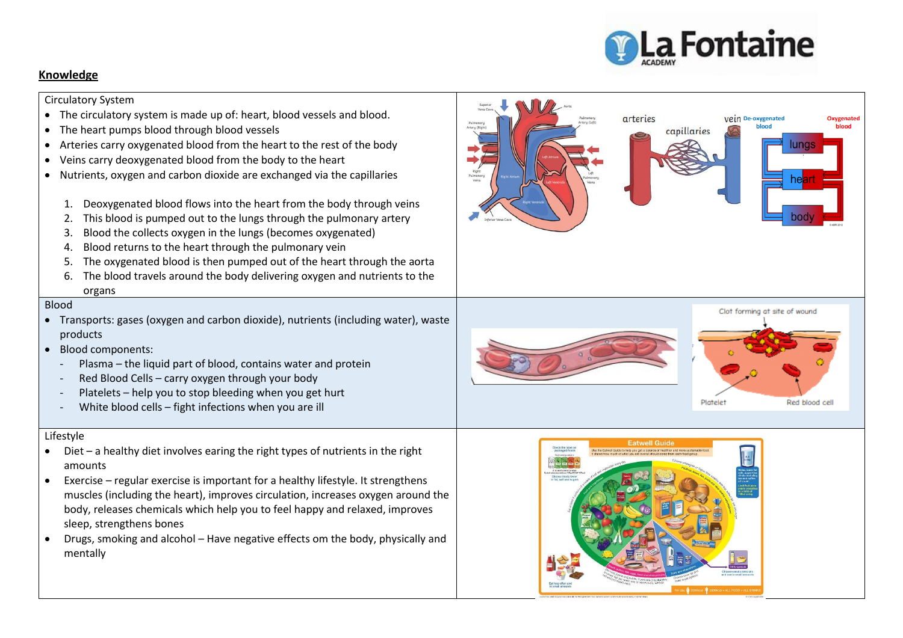

## **Knowledge**

Circulatory System

- The circulatory system is made up of: heart, blood vessels and blood.
- The heart pumps blood through blood vessels
- Arteries carry oxygenated blood from the heart to the rest of the body
- Veins carry deoxygenated blood from the body to the heart
- Nutrients, oxygen and carbon dioxide are exchanged via the capillaries
	- 1. Deoxygenated blood flows into the heart from the body through veins
	- 2. This blood is pumped out to the lungs through the pulmonary artery
	- 3. Blood the collects oxygen in the lungs (becomes oxygenated)
	- 4. Blood returns to the heart through the pulmonary vein
	- 5. The oxygenated blood is then pumped out of the heart through the aorta
	- 6. The blood travels around the body delivering oxygen and nutrients to the organs

#### Blood

- Transports: gases (oxygen and carbon dioxide), nutrients (including water), waste products
- Blood components:
	- Plasma the liquid part of blood, contains water and protein
	- Red Blood Cells carry oxygen through your body
	- Platelets help you to stop bleeding when you get hurt
	- White blood cells fight infections when you are ill

#### Lifestyle

- Diet a healthy diet involves earing the right types of nutrients in the right amounts
- Exercise regular exercise is important for a healthy lifestyle. It strengthens muscles (including the heart), improves circulation, increases oxygen around the body, releases chemicals which help you to feel happy and relaxed, improves sleep, strengthens bones
- Drugs, smoking and alcohol Have negative effects om the body, physically and mentally